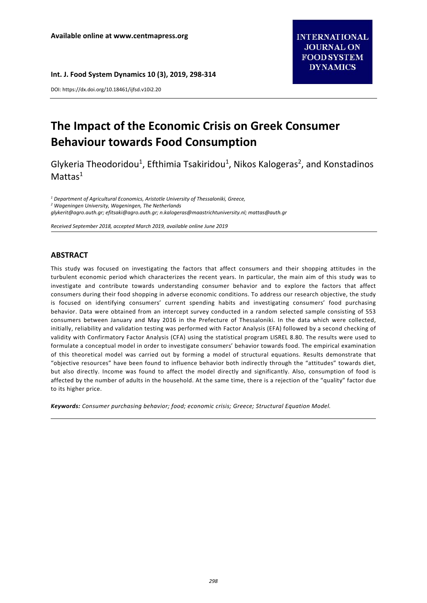#### **Int. J. Food System Dynamics 10 (3), 2019, 298‐314**

DOI: https://dx.doi.org/10.18461/ijfsd.v10i2.20

# **The Impact of the Economic Crisis on Greek Consumer Behaviour towards Food Consumption**

Glykeria Theodoridou<sup>1</sup>, Efthimia Tsakiridou<sup>1</sup>, Nikos Kalogeras<sup>2</sup>, and Konstadinos  $M$ 

*1 Department of Agricultural Economics, Aristotle University of Thessaloniki, Greece, 2 Wageningen University, Wageningen, The Netherlands glykerit@agro.auth.gr; efitsaki@agro.auth.gr; n.kalogeras@maastrichtuniversity.nl; mattas@auth.gr* 

*Received September 2018, accepted March 2019, available online June 2019* 

## **ABSTRACT**

This study was focused on investigating the factors that affect consumers and their shopping attitudes in the turbulent economic period which characterizes the recent years. In particular, the main aim of this study was to investigate and contribute towards understanding consumer behavior and to explore the factors that affect consumers during their food shopping in adverse economic conditions. To address our research objective, the study is focused on identifying consumers' current spending habits and investigating consumers' food purchasing behavior. Data were obtained from an intercept survey conducted in a random selected sample consisting of 553 consumers between January and May 2016 in the Prefecture of Thessaloniki. In the data which were collected, initially, reliability and validation testing was performed with Factor Analysis (EFA) followed by a second checking of validity with Confirmatory Factor Analysis (CFA) using the statistical program LISREL 8.80. The results were used to formulate a conceptual model in order to investigate consumers' behavior towards food. The empirical examination of this theoretical model was carried out by forming a model of structural equations. Results demonstrate that "objective resources" have been found to influence behavior both indirectly through the "attitudes" towards diet, but also directly. Income was found to affect the model directly and significantly. Also, consumption of food is affected by the number of adults in the household. At the same time, there is a rejection of the "quality" factor due to its higher price.

*Keywords: Consumer purchasing behavior; food; economic crisis; Greece; Structural Equation Model.*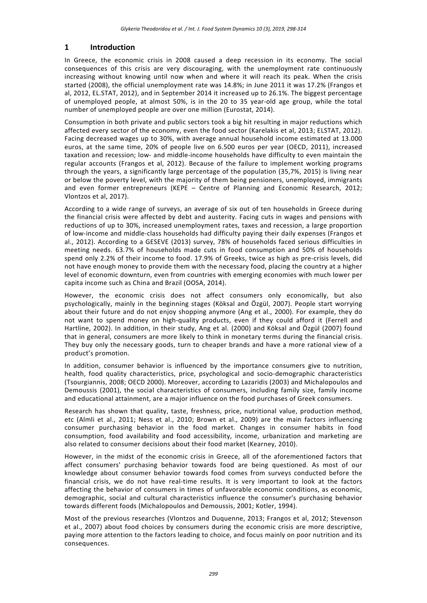#### **1 Introduction**

In Greece, the economic crisis in 2008 caused a deep recession in its economy. The social consequences of this crisis are very discouraging, with the unemployment rate continuously increasing without knowing until now when and where it will reach its peak. When the crisis started (2008), the official unemployment rate was 14.8%; in June 2011 it was 17.2% (Frangos et al, 2012, EL.STAT, 2012), and in September 2014 it increased up to 26.1%. The biggest percentage of unemployed people, at almost 50%, is in the 20 to 35 year‐old age group, while the total number of unemployed people are over one million (Eurostat, 2014).

Consumption in both private and public sectors took a big hit resulting in major reductions which affected every sector of the economy, even the food sector (Karelakis et al, 2013; ELSTAT, 2012). Facing decreased wages up to 30%, with average annual household income estimated at 13.000 euros, at the same time, 20% of people live on 6.500 euros per vear (OECD, 2011), increased taxation and recession; low‐ and middle‐income households have difficulty to even maintain the regular accounts (Frangos et al, 2012). Because of the failure to implement working programs through the years, a significantly large percentage of the population (35,7%, 2015) is living near or below the poverty level, with the majority of them being pensioners, unemployed, immigrants and even former entrepreneurs (KEPE - Centre of Planning and Economic Research, 2012; Vlontzos et al, 2017).

According to a wide range of surveys, an average of six out of ten households in Greece during the financial crisis were affected by debt and austerity. Facing cuts in wages and pensions with reductions of up to 30%, increased unemployment rates, taxes and recession, a large proportion of low‐income and middle‐class households had difficulty paying their daily expenses (Frangos et al., 2012). According to a GESEVE (2013) survey, 78% of households faced serious difficulties in meeting needs. 63.7% of households made cuts in food consumption and 50% of households spend only 2.2% of their income to food. 17.9% of Greeks, twice as high as pre-crisis levels, did not have enough money to provide them with the necessary food, placing the country at a higher level of economic downturn, even from countries with emerging economies with much lower per capita income such as China and Brazil (OOSA, 2014).

However, the economic crisis does not affect consumers only economically, but also psychologically, mainly in the beginning stages (Köksal and Özgül, 2007). People start worrying about their future and do not enjoy shopping anymore (Ang et al., 2000). For example, they do not want to spend money on high-quality products, even if they could afford it (Ferrell and Hartline, 2002). In addition, in their study, Ang et al. (2000) and Köksal and Özgül (2007) found that in general, consumers are more likely to think in monetary terms during the financial crisis. They buy only the necessary goods, turn to cheaper brands and have a more rational view of a product's promotion.

In addition, consumer behavior is influenced by the importance consumers give to nutrition, health, food quality characteristics, price, psychological and socio-demographic characteristics (Tsourgiannis, 2008; OECD 2000). Moreover, according to Lazaridis (2003) and Michalopoulos and Demoussis (2001), the social characteristics of consumers, including family size, family income and educational attainment, are a major influence on the food purchases of Greek consumers.

Research has shown that quality, taste, freshness, price, nutritional value, production method, etc (Almli et al., 2011; Ness et al., 2010; Brown et al., 2009) are the main factors influencing consumer purchasing behavior in the food market. Changes in consumer habits in food consumption, food availability and food accessibility, income, urbanization and marketing are also related to consumer decisions about their food market (Kearney, 2010).

However, in the midst of the economic crisis in Greece, all of the aforementioned factors that affect consumers' purchasing behavior towards food are being questioned. As most of our knowledge about consumer behavior towards food comes from surveys conducted before the financial crisis, we do not have real-time results. It is very important to look at the factors affecting the behavior of consumers in times of unfavorable economic conditions, as economic, demographic, social and cultural characteristics influence the consumer's purchasing behavior towards different foods (Michalopoulos and Demoussis, 2001; Kotler, 1994).

Most of the previous researches (Vlontzos and Duquenne, 2013; Frangos et al, 2012; Stevenson et al., 2007) about food choices by consumers during the economic crisis are more descriptive, paying more attention to the factors leading to choice, and focus mainly on poor nutrition and its consequences.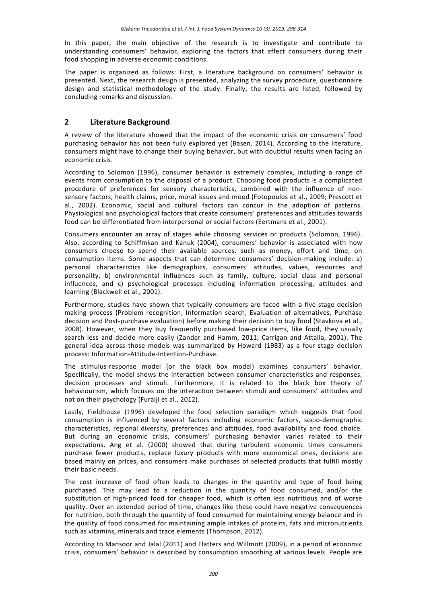In this paper, the main objective of the research is to investigate and contribute to understanding consumers' behavior, exploring the factors that affect consumers during their food shopping in adverse economic conditions.

The paper is organized as follows: First, a literature background on consumers' behavior is presented. Next, the research design is presented, analyzing the survey procedure, questionnaire design and statistical methodology of the study. Finally, the results are listed, followed by concluding remarks and discussion.

# **2 Literature Background**

A review of the literature showed that the impact of the economic crisis on consumers' food purchasing behavior has not been fully explored yet (Basen, 2014). According to the literature, consumers might have to change their buying behavior, but with doubtful results when facing an economic crisis.

According to Solomon (1996), consumer behavior is extremely complex, including a range of events from consumption to the disposal of a product. Choosing food products is a complicated procedure of preferences for sensory characteristics, combined with the influence of nonsensory factors, health claims, price, moral issues and mood (Fotopoulos et al., 2009; Prescott et al., 2002). Economic, social and cultural factors can concur in the adoption of patterns. Physiological and psychological factors that create consumers' preferences and attitudes towards food can be differentiated from interpersonal or social factors (Eertmans et al., 2001).

Consumers encounter an array of stages while choosing services or products (Solomon, 1996). Also, according to Schiffmkan and Kanuk (2004), consumers' behavior is associated with how consumers choose to spend their available sources, such as money, effort and time, on consumption items. Some aspects that can determine consumers' decision-making include: a) personal characteristics like demographics, consumers' attitudes, values, resources and personality, b) environmental influences such as family, culture, social class and personal influences, and c) psychological processes including information processing, attitudes and learning (Blackwell et al., 2001).

Furthermore, studies have shown that typically consumers are faced with a five-stage decision making process (Problem recognition, Information search, Evaluation of alternatives, Purchase decision and Post-purchase evaluation) before making their decision to buy food (Stavkova et al., 2008). However, when they buy frequently purchased low-price items, like food, they usually search less and decide more easily (Zander and Hamm, 2011; Carrigan and Attalla, 2001). The general idea across those models was summarized by Howard (1983) as a four‐stage decision process: Information‐Attitude‐Intention‐Purchase.

The stimulus-response model (or the black box model) examines consumers' behavior. Specifically, the model shows the interaction between consumer characteristics and responses, decision processes and stimuli. Furthermore, it is related to the black box theory of behaviourism, which focuses on the interaction between stimuli and consumers' attitudes and not on their psychology (Furaiji et al., 2012).

Lastly, Fieldhouse (1996) developed the food selection paradigm which suggests that food consumption is influenced by several factors including economic factors, socio‐demographic characteristics, regional diversity, preferences and attitudes, food availability and food choice. But during an economic crisis, consumers' purchasing behavior varies related to their expectations. Ang et al. (2000) showed that during turbulent economic times consumers purchase fewer products, replace luxury products with more economical ones, decisions are based mainly on prices, and consumers make purchases of selected products that fulfill mostly their basic needs.

The cost increase of food often leads to changes in the quantity and type of food being purchased. This may lead to a reduction in the quantity of food consumed, and/or the substitution of high-priced food for cheaper food, which is often less nutritious and of worse quality. Over an extended period of time, changes like these could have negative consequences for nutrition, both through the quantity of food consumed for maintaining energy balance and in the quality of food consumed for maintaining ample intakes of proteins, fats and micronutrients such as vitamins, minerals and trace elements (Thompson, 2012).

According to Mansoor and Jalal (2011) and Flatters and Willmott (2009), in a period of economic crisis, consumers' behavior is described by consumption smoothing at various levels. People are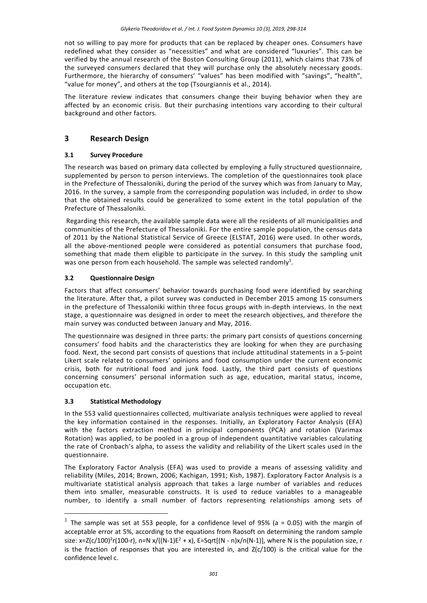not so willing to pay more for products that can be replaced by cheaper ones. Consumers have redefined what they consider as "necessities" and what are considered "luxuries". This can be verified by the annual research of the Boston Consulting Group (2011), which claims that 73% of the surveyed consumers declared that they will purchase only the absolutely necessary goods. Furthermore, the hierarchy of consumers' "values" has been modified with "savings", "health", "value for money", and others at the top (Tsourgiannis et al., 2014).

The literature review indicates that consumers change their buying behavior when they are affected by an economic crisis. But their purchasing intentions vary according to their cultural background and other factors.

# **3 Research Design**

## **3.1 Survey Procedure**

The research was based on primary data collected by employing a fully structured questionnaire, supplemented by person to person interviews. The completion of the questionnaires took place in the Prefecture of Thessaloniki, during the period of the survey which was from January to May, 2016. In the survey, a sample from the corresponding population was included, in order to show that the obtained results could be generalized to some extent in the total population of the Prefecture of Thessaloniki.

 Regarding this research, the available sample data were all the residents of all municipalities and communities of the Prefecture of Thessaloniki. For the entire sample population, the census data of 2011 by the National Statistical Service of Greece (ELSTAT, 2016) were used. In other words, all the above-mentioned people were considered as potential consumers that purchase food, something that made them eligible to participate in the survey. In this study the sampling unit was one person from each household. The sample was selected randomly<sup>1</sup>.

## **3.2 Questionnaire Design**

Factors that affect consumers' behavior towards purchasing food were identified by searching the literature. After that, a pilot survey was conducted in December 2015 among 15 consumers in the prefecture of Thessaloniki within three focus groups with in‐depth interviews. In the next stage, a questionnaire was designed in order to meet the research objectives, and therefore the main survey was conducted between January and May, 2016.

The questionnaire was designed in three parts: the primary part consists of questions concerning consumers' food habits and the characteristics they are looking for when they are purchasing food. Next, the second part consists of questions that include attitudinal statements in a 5‐point Likert scale related to consumers' opinions and food consumption under the current economic crisis, both for nutritional food and junk food. Lastly, the third part consists of questions concerning consumers' personal information such as age, education, marital status, income, occupation etc.

## **3.3 Statistical Methodology**

1

In the 553 valid questionnaires collected, multivariate analysis techniques were applied to reveal the key information contained in the responses. Initially, an Exploratory Factor Analysis (EFA) with the factors extraction method in principal components (PCA) and rotation (Varimax Rotation) was applied, to be pooled in a group of independent quantitative variables calculating the rate of Cronbach's alpha, to assess the validity and reliability of the Likert scales used in the questionnaire.

The Exploratory Factor Analysis (EFA) was used to provide a means of assessing validity and reliability (Miles, 2014; Brown, 2006; Kachigan, 1991; Kish, 1987). Exploratory Factor Analysis is a multivariate statistical analysis approach that takes a large number of variables and reduces them into smaller, measurable constructs. It is used to reduce variables to a manageable number, to identify a small number of factors representing relationships among sets of

<sup>&</sup>lt;sup>1</sup> The sample was set at 553 people, for a confidence level of 95% (a = 0.05) with the margin of acceptable error at 5%, according to the equations from Raosoft on determining the random sample size: x=Z(c/100)<sup>2</sup>r(100-r), n=N x/((N-1)E<sup>2</sup> + x), E=Sqrt[(N - n)x/n(N-1)], where N is the population size, r is the fraction of responses that vou are interested in, and  $Z(c/100)$  is the critical value for the confidence level c.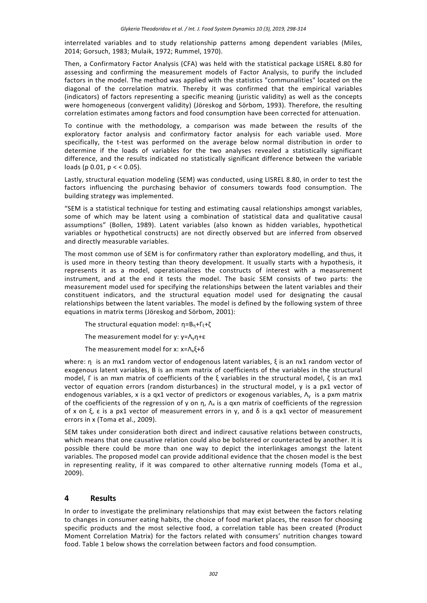interrelated variables and to study relationship patterns among dependent variables (Miles, 2014; Gorsuch, 1983; Mulaik, 1972; Rummel, 1970).

Then, a Confirmatory Factor Analysis (CFA) was held with the statistical package LISREL 8.80 for assessing and confirming the measurement models of Factor Analysis, to purify the included factors in the model. The method was applied with the statistics "communalities" located on the diagonal of the correlation matrix. Thereby it was confirmed that the empirical variables (indicators) of factors representing a specific meaning (juristic validity) as well as the concepts were homogeneous (convergent validity) (Jöreskog and Sörbom, 1993). Therefore, the resulting correlation estimates among factors and food consumption have been corrected for attenuation.

To continue with the methodology, a comparison was made between the results of the exploratory factor analysis and confirmatory factor analysis for each variable used. More specifically, the t-test was performed on the average below normal distribution in order to determine if the loads of variables for the two analyses revealed a statistically significant difference, and the results indicated no statistically significant difference between the variable loads (p  $0.01$ ,  $p < 0.05$ ).

Lastly, structural equation modeling (SEM) was conducted, using LISREL 8.80, in order to test the factors influencing the purchasing behavior of consumers towards food consumption. The building strategy was implemented.

"SEM is a statistical technique for testing and estimating causal relationships amongst variables, some of which may be latent using a combination of statistical data and qualitative causal assumptions" (Bollen, 1989). Latent variables (also known as hidden variables, hypothetical variables or hypothetical constructs) are not directly observed but are inferred from observed and directly measurable variables.

The most common use of SEM is for confirmatory rather than exploratory modelling, and thus, it is used more in theory testing than theory development. It usually starts with a hypothesis, it represents it as a model, operationalizes the constructs of interest with a measurement instrument, and at the end it tests the model. The basic SEM consists of two parts: the measurement model used for specifying the relationships between the latent variables and their constituent indicators, and the structural equation model used for designating the causal relationships between the latent variables. The model is defined by the following system of three equations in matrix terms (Jöreskog and Sörbom, 2001):

The structural equation model:  $η = B<sub>n</sub>+Γ<sub>ε</sub>+ζ$ 

The measurement model for y: y=Λyη+ε

The measurement model for x:  $x = Λ_x ξ + δ$ 

where: η is an mx1 random vector of endogenous latent variables, ξ is an nx1 random vector of exogenous latent variables, B is an mxm matrix of coefficients of the variables in the structural model, Γ is an mxn matrix of coefficients of the ξ variables in the structural model, ζ is an mx1 vector of equation errors (random disturbances) in the structural model, y is a px1 vector of endogenous variables, x is a qx1 vector of predictors or exogenous variables,  $\Lambda_{\rm v}$  is a pxm matrix of the coefficients of the regression of y on η,  $\Lambda_x$  is a qxn matrix of coefficients of the regression of x on  $\xi$ ,  $\varepsilon$  is a px1 vector of measurement errors in y, and  $\delta$  is a qx1 vector of measurement errors in x (Toma et al., 2009).

SEM takes under consideration both direct and indirect causative relations between constructs, which means that one causative relation could also be bolstered or counteracted by another. It is possible there could be more than one way to depict the interlinkages amongst the latent variables. The proposed model can provide additional evidence that the chosen model is the best in representing reality, if it was compared to other alternative running models (Toma et al., 2009).

#### **4 Results**

In order to investigate the preliminary relationships that may exist between the factors relating to changes in consumer eating habits, the choice of food market places, the reason for choosing specific products and the most selective food, a correlation table has been created (Product Moment Correlation Matrix) for the factors related with consumers' nutrition changes toward food. Table 1 below shows the correlation between factors and food consumption.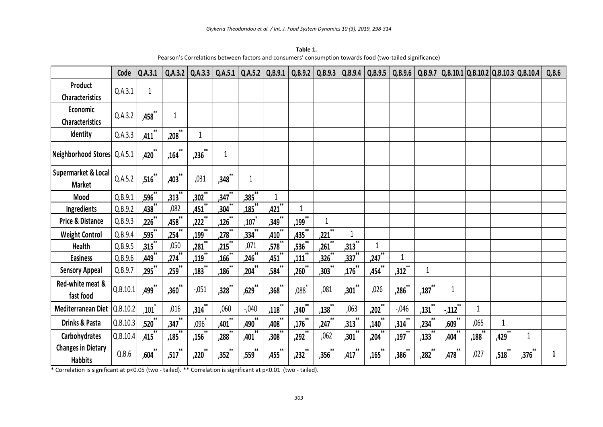**Table 1.** Pearson's Correlations between factors and consumers' consumption towards food (two-tailed significance)

|                                             | Code     | Q.A.3.1              |                      | Q.A.3.2   Q.A.3.3      | Q.A.5.1                | Q.A.5.2   Q.B.9.1  |                      | Q.B.9.2              | Q.B.9.3              | Q.B.9.4         | Q.B.9.5         | Q.B.9.6      | Q.B.9.7              |                            |                      |              | $Q.B.10.1   Q.B.10.2   Q.B.10.3   Q.B.10.4$ | Q.B.6 |
|---------------------------------------------|----------|----------------------|----------------------|------------------------|------------------------|--------------------|----------------------|----------------------|----------------------|-----------------|-----------------|--------------|----------------------|----------------------------|----------------------|--------------|---------------------------------------------|-------|
| Product<br><b>Characteristics</b>           | Q.A.3.1  | $\mathbf{1}$         |                      |                        |                        |                    |                      |                      |                      |                 |                 |              |                      |                            |                      |              |                                             |       |
| Economic<br><b>Characteristics</b>          | Q.A.3.2  | ,458 <sup>**</sup>   | 1                    |                        |                        |                    |                      |                      |                      |                 |                 |              |                      |                            |                      |              |                                             |       |
| Identity                                    | Q.A.3.3  | $\sqrt{411}^{**}$    | $\ast\ast$<br>,208   | 1                      |                        |                    |                      |                      |                      |                 |                 |              |                      |                            |                      |              |                                             |       |
| Neighborhood Stores Q.A.5.1                 |          | ,420**               | $\ast\ast$<br>,164   | **<br><sup>236ْ,</sup> | $\mathbf{1}$           |                    |                      |                      |                      |                 |                 |              |                      |                            |                      |              |                                             |       |
| Supermarket & Local<br><b>Market</b>        | Q.A.5.2  | ,516**               | $***$<br>,403        | ,031                   | ,348                   | 1                  |                      |                      |                      |                 |                 |              |                      |                            |                      |              |                                             |       |
| Mood                                        | Q.B.9.1  | ,596 $^{\ast\ast}$   | $,313$ <sup>**</sup> | $,302$ **              | ,347**                 | $,385$ **          | $\mathbf{1}$         |                      |                      |                 |                 |              |                      |                            |                      |              |                                             |       |
| Ingredients                                 | Q.B.9.2  | ,438                 | ,082                 | $,451$ <sup>**</sup>   | $,304$ **              | $,185$ **          | $,421$ <sup>**</sup> | $\mathbf{1}$         |                      |                 |                 |              |                      |                            |                      |              |                                             |       |
| <b>Price &amp; Distance</b>                 | Q.B.9.3  | $,226$ **            | $,458$ **            | $,222$ <sup>**</sup>   | $,126$ **              | ,107               | $,349$ **            | $,199$ **            |                      |                 |                 |              |                      |                            |                      |              |                                             |       |
| <b>Weight Control</b>                       | Q.B.9.4  | ,595                 | آ254,                | $**$<br>آ199,          | ,278                   | ,334               | ,410 <sup>°</sup>    | $\frac{1}{435}$      | $*$<br>,221          | 1               |                 |              |                      |                            |                      |              |                                             |       |
| <b>Health</b>                               | Q.B.9.5  | ,315                 | ,050                 | $***$<br>ْ281,         | $\overline{,215}^{**}$ | ,071               | ,578 $\tilde{ }$     | $\frac{1}{.536}$     | $***$<br>,261        | $***$<br>,313   |                 |              |                      |                            |                      |              |                                             |       |
| <b>Easiness</b>                             | Q.B.9.6  | $\frac{1}{449}$      | $\frac{1}{274}$      | $**$<br>آ119,          | $,166$ **              | $,246$ **          | $**$<br>ْ`451,       | $**$<br>,111         | $,326$ **            | آ337,           | $\frac{1}{247}$ |              |                      |                            |                      |              |                                             |       |
| <b>Sensory Appeal</b>                       | Q.B.9.7  | ,295**               | ,259                 | $\ast\ast$<br>,183     | $\frac{186}{100}$      | $\ast\ast$<br>,204 | **<br>,584           | $,260$ <sup>**</sup> | $,303$ <sup>**</sup> | $\frac{1}{176}$ | $***$<br>,454   | $,312$ **    | $\mathbf{1}$         |                            |                      |              |                                             |       |
| Red-white meat &<br>fast food               | Q.B.10.1 | ,499 <sup>**</sup>   | $,360^\degree$       | $-0.051$               | $,328$ **              | $,629$ **          | ,368                 | ,088                 | ,081                 | $***$<br>,301   | ,026            | $,286$ **    | $***$<br>,187        | $\mathbf{1}$               |                      |              |                                             |       |
| Mediterranean Diet                          | Q.B.10.2 | ,101 $\degree$       | ,016                 | $,314$ **              | ,060                   | $-0.040$           | $,118$ **            | ,340                 | $,138$ <sup>**</sup> | ,063            | $,202$ **       | $-0.046$     | ,131                 | $-112^{11/1}$              | 1                    |              |                                             |       |
| Drinks & Pasta                              | Q.B.10.3 | ,520**               | **<br>,347           | $.096^{*}$             | $***$<br>,401          | <b>,490</b>        | ,408 <sup>°</sup>    | $,176$ <sup>**</sup> | ,247                 | ,313            | ,140            | .314         | ,234                 | $**$<br>,609               | ,065                 | $\mathbf{1}$ |                                             |       |
| Carbohydrates                               | Q.B.10.4 | $,415$ <sup>**</sup> | $,185$ <sup>**</sup> | ,156                   | $,288$ **              | ,401**             | $,308$ **            | $,292$ **            | ,062                 | ,301            | $,204$ **       | ,197 $^{**}$ | $,133$ <sup>**</sup> | $\frac{1}{404}$            | $,188$ <sup>**</sup> | **<br>آ429,  |                                             |       |
| <b>Changes in Dietary</b><br><b>Habbits</b> | Q.B.6    | $*^*$<br>,604        | ,517                 | **<br>,220             | $,352$ **              | **<br>,559         | **<br>,455           | $,232$ **            | $,356^{**}$          | **<br>,417      | **<br>,165      | ,386**       | **<br>,282           | $***$<br>,478 <sup>°</sup> | ,027                 | $,518^{**}$  | ,376**                                      | 1     |

\* Correlation is significant at p<0.05 (two ‐ tailed). \*\* Correlation is significant at p<0.01 (two ‐ tailed).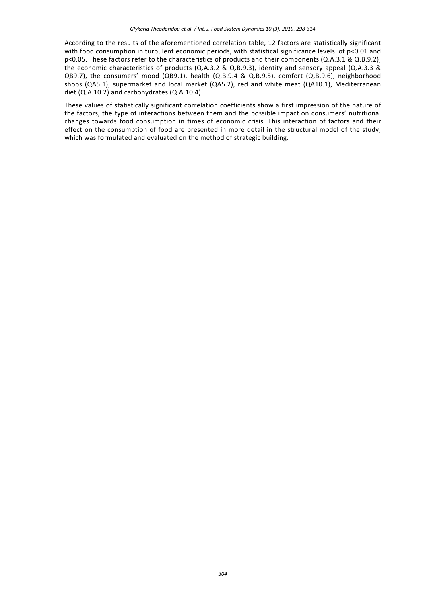According to the results of the aforementioned correlation table, 12 factors are statistically significant with food consumption in turbulent economic periods, with statistical significance levels of p<0.01 and p<0.05. These factors refer to the characteristics of products and their components (Q.A.3.1 & Q.B.9.2), the economic characteristics of products (Q.A.3.2 & Q.B.9.3), identity and sensory appeal (Q.A.3.3 & QB9.7), the consumers' mood (QB9.1), health (Q.B.9.4 & Q.B.9.5), comfort (Q.B.9.6), neighborhood shops (QA5.1), supermarket and local market (QA5.2), red and white meat (QA10.1), Mediterranean diet (Q.A.10.2) and carbohydrates (Q.A.10.4).

These values of statistically significant correlation coefficients show a first impression of the nature of the factors, the type of interactions between them and the possible impact on consumers' nutritional changes towards food consumption in times of economic crisis. This interaction of factors and their effect on the consumption of food are presented in more detail in the structural model of the study, which was formulated and evaluated on the method of strategic building.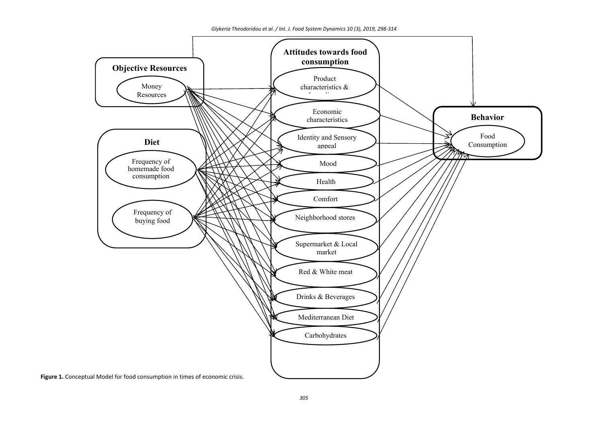*Glykeria Theodoridou et al. / Int. J. Food System Dynamics 10 (3), 2019, 298‐314* 



*305*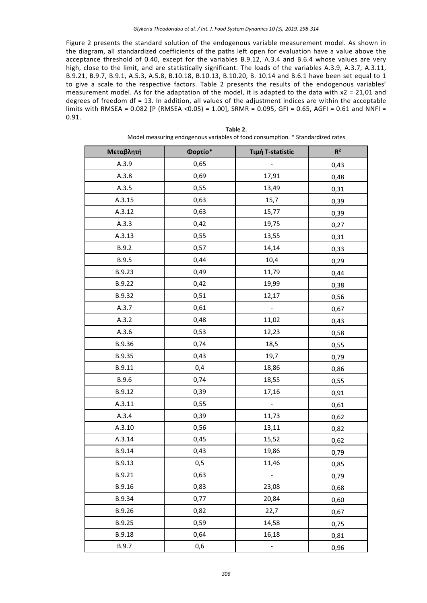Figure 2 presents the standard solution of the endogenous variable measurement model. As shown in the diagram, all standardized coefficients of the paths left open for evaluation have a value above the acceptance threshold of 0.40, except for the variables B.9.12, A.3.4 and B.6.4 whose values are very high, close to the limit, and are statistically significant. The loads of the variables A.3.9, A.3.7, A.3.11, B.9.21, B.9.7, B.9.1, A.5.3, A.5.8, B.10.18, B.10.13, B.10.20, B. 10.14 and B.6.1 have been set equal to 1 to give a scale to the respective factors. Table 2 presents the results of the endogenous variables' measurement model. As for the adaptation of the model, it is adapted to the data with  $x^2 = 21,01$  and degrees of freedom df = 13. In addition, all values of the adjustment indices are within the acceptable limits with RMSEA =  $0.082$  [P (RMSEA <0.05) = 1.00], SRMR =  $0.095$ , GFI = 0.65, AGFI = 0.61 and NNFI = 0.91.

| Μεταβλητή    | Φορτίο* | <b>Τιμή T-statistic</b> | $R^2$ |
|--------------|---------|-------------------------|-------|
| A.3.9        | 0,65    |                         | 0,43  |
| A.3.8        | 0,69    | 17,91                   | 0,48  |
| A.3.5        | 0,55    | 13,49                   | 0,31  |
| A.3.15       | 0,63    | 15,7                    | 0,39  |
| A.3.12       | 0,63    | 15,77                   | 0,39  |
| A.3.3        | 0,42    | 19,75                   | 0,27  |
| A.3.13       | 0,55    | 13,55                   | 0,31  |
| B.9.2        | 0,57    | 14,14                   | 0,33  |
| B.9.5        | 0,44    | 10,4                    | 0,29  |
| B.9.23       | 0,49    | 11,79                   | 0,44  |
| B.9.22       | 0,42    | 19,99                   | 0,38  |
| B.9.32       | 0,51    | 12,17                   | 0,56  |
| A.3.7        | 0,61    |                         | 0,67  |
| A.3.2        | 0,48    | 11,02                   | 0,43  |
| A.3.6        | 0,53    | 12,23                   | 0,58  |
| B.9.36       | 0,74    | 18,5                    | 0,55  |
| B.9.35       | 0,43    | 19,7                    | 0,79  |
| B.9.11       | 0,4     | 18,86                   | 0,86  |
| B.9.6        | 0,74    | 18,55                   | 0,55  |
| B.9.12       | 0,39    | 17,16                   | 0,91  |
| A.3.11       | 0,55    |                         | 0,61  |
| A.3.4        | 0,39    | 11,73                   | 0,62  |
| A.3.10       | 0,56    | 13,11                   | 0,82  |
| A.3.14       | 0,45    | 15,52                   | 0,62  |
| B.9.14       | 0,43    | 19,86                   | 0,79  |
| B.9.13       | 0,5     | 11,46                   | 0,85  |
| B.9.21       | 0,63    |                         | 0,79  |
| B.9.16       | 0,83    | 23,08                   | 0,68  |
| B.9.34       | 0,77    | 20,84                   | 0,60  |
| B.9.26       | 0,82    | 22,7                    | 0,67  |
| B.9.25       | 0,59    | 14,58                   | 0,75  |
| B.9.18       | 0,64    | 16,18                   | 0,81  |
| <b>B.9.7</b> | 0,6     |                         | 0,96  |

**Table 2.** Model measuring endogenous variables of food consumption. \* Standardized rates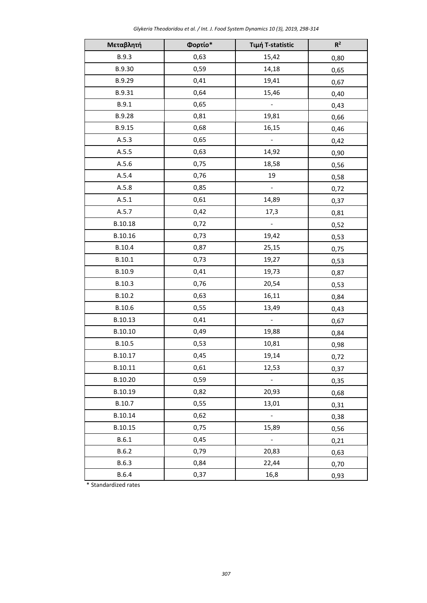|  | Glykeria Theodoridou et al. / Int. J. Food System Dynamics 10 (3), 2019, 298-314 |  |
|--|----------------------------------------------------------------------------------|--|
|--|----------------------------------------------------------------------------------|--|

| Μεταβλητή    | Φορτίο* | Τιμή T-statistic         | $R^2$ |  |
|--------------|---------|--------------------------|-------|--|
| B.9.3        | 0,63    | 15,42                    | 0,80  |  |
| B.9.30       | 0,59    | 14,18                    | 0,65  |  |
| B.9.29       | 0,41    | 19,41                    | 0,67  |  |
| B.9.31       | 0,64    | 15,46                    | 0,40  |  |
| B.9.1        | 0,65    |                          | 0,43  |  |
| B.9.28       | 0,81    | 19,81                    | 0,66  |  |
| B.9.15       | 0,68    | 16,15                    | 0,46  |  |
| A.5.3        | 0,65    |                          | 0,42  |  |
| A.5.5        | 0,63    | 14,92                    | 0,90  |  |
| A.5.6        | 0,75    | 18,58                    | 0,56  |  |
| A.5.4        | 0,76    | 19                       | 0,58  |  |
| A.5.8        | 0,85    | $\blacksquare$           | 0,72  |  |
| A.5.1        | 0,61    | 14,89                    | 0,37  |  |
| A.5.7        | 0,42    | 17,3                     | 0,81  |  |
| B.10.18      | 0,72    | $\overline{\phantom{0}}$ | 0,52  |  |
| B.10.16      | 0,73    | 19,42                    | 0,53  |  |
| B.10.4       | 0,87    | 25,15                    | 0,75  |  |
| B.10.1       | 0,73    | 19,27                    | 0,53  |  |
| B.10.9       | 0,41    | 19,73                    | 0,87  |  |
| B.10.3       | 0,76    | 20,54                    | 0,53  |  |
| B.10.2       | 0,63    | 16,11                    | 0,84  |  |
| B.10.6       | 0,55    | 13,49                    | 0,43  |  |
| B.10.13      | 0,41    | $\overline{\phantom{0}}$ | 0,67  |  |
| B.10.10      | 0,49    | 19,88                    | 0,84  |  |
| B.10.5       | 0,53    | 10,81                    | 0,98  |  |
| B.10.17      | 0,45    | 19,14                    | 0,72  |  |
| B.10.11      | 0,61    | 12,53                    | 0,37  |  |
| B.10.20      | 0,59    | -                        | 0,35  |  |
| B.10.19      | 0,82    | 20,93                    | 0,68  |  |
| B.10.7       | 0,55    | 13,01                    | 0,31  |  |
| B.10.14      | 0,62    | $\qquad \qquad -$        | 0,38  |  |
| B.10.15      | 0,75    | 15,89                    | 0,56  |  |
| B.6.1        | 0,45    | -                        | 0,21  |  |
| B.6.2        | 0,79    | 20,83                    | 0,63  |  |
| B.6.3        | 0,84    | 22,44                    | 0,70  |  |
| <b>B.6.4</b> | 0,37    | 16,8                     | 0,93  |  |

\* Standardized rates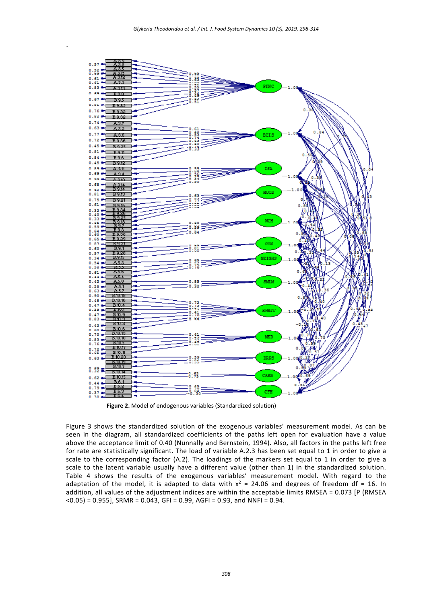.



**Figure 2.** Model of endogenous variables (Standardized solution)

Figure 3 shows the standardized solution of the exogenous variables' measurement model. As can be seen in the diagram, all standardized coefficients of the paths left open for evaluation have a value above the acceptance limit of 0.40 (Nunnally and Bernstein, 1994). Also, all factors in the paths left free for rate are statistically significant. The load of variable A.2.3 has been set equal to 1 in order to give a scale to the corresponding factor  $(A.2)$ . The loadings of the markers set equal to 1 in order to give a scale to the latent variable usually have a different value (other than 1) in the standardized solution. Table 4 shows the results of the exogenous variables' measurement model. With regard to the adaptation of the model, it is adapted to data with  $x^2 = 24.06$  and degrees of freedom df = 16. In addition, all values of the adjustment indices are within the acceptable limits RMSEA = 0.073 [P (RMSEA <0.05) = 0.955], SRMR = 0.043, GFI = 0.99, AGFI = 0.93, and NNFI = 0.94.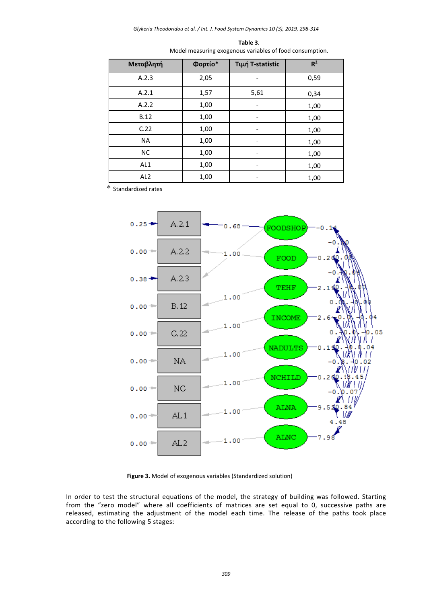| Μεταβλητή       | Φορτίο* | Τιμή T-statistic | R <sup>2</sup> |
|-----------------|---------|------------------|----------------|
| A.2.3           | 2,05    |                  | 0,59           |
| A.2.1           | 1,57    | 5,61             | 0,34           |
| A.2.2           | 1,00    |                  | 1,00           |
| <b>B.12</b>     | 1,00    |                  | 1,00           |
| C.22            | 1,00    |                  | 1,00           |
| <b>NA</b>       | 1,00    |                  | 1,00           |
| <b>NC</b>       | 1,00    |                  | 1,00           |
| AL <sub>1</sub> | 1,00    |                  | 1,00           |
| AL <sub>2</sub> | 1,00    |                  | 1,00           |

**Table 3**. Model measuring exogenous variables of food consumption.

\* Standardized rates



**Figure 3.** Model of exogenous variables (Standardized solution)

In order to test the structural equations of the model, the strategy of building was followed. Starting from the "zero model" where all coefficients of matrices are set equal to 0, successive paths are released, estimating the adjustment of the model each time. The release of the paths took place according to the following 5 stages: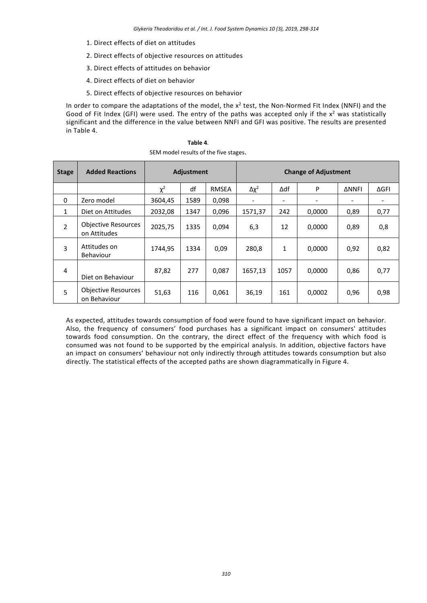- 1. Direct effects of diet on attitudes
- 2. Direct effects of objective resources on attitudes
- 3. Direct effects of attitudes on behavior
- 4. Direct effects of diet on behavior
- 5. Direct effects of objective resources on behavior

In order to compare the adaptations of the model, the  $x^2$  test, the Non-Normed Fit Index (NNFI) and the Good of Fit Index (GFI) were used. The entry of the paths was accepted only if the  $x^2$  was statistically significant and the difference in the value between NNFI and GFI was positive. The results are presented in Table 4.

| <b>Stage</b>   | <b>Added Reactions</b><br>Adjustment       |          |      | <b>Change of Adjustment</b> |                 |              |        |              |      |
|----------------|--------------------------------------------|----------|------|-----------------------------|-----------------|--------------|--------|--------------|------|
|                |                                            | $\chi^2$ | df   | <b>RMSEA</b>                | $\Delta \chi^2$ | ∆df          | P      | <b>ANNFI</b> | ∆GFI |
| 0              | Zero model                                 | 3604,45  | 1589 | 0,098                       |                 |              |        |              |      |
| $\mathbf{1}$   | Diet on Attitudes                          | 2032,08  | 1347 | 0,096                       | 1571,37         | 242          | 0,0000 | 0,89         | 0,77 |
| $\mathcal{L}$  | <b>Objective Resources</b><br>on Attitudes | 2025,75  | 1335 | 0,094                       | 6,3             | 12           | 0,0000 | 0,89         | 0,8  |
| 3              | Attitudes on<br>Behaviour                  | 1744,95  | 1334 | 0,09                        | 280,8           | $\mathbf{1}$ | 0,0000 | 0,92         | 0,82 |
| $\overline{4}$ | Diet on Behaviour                          | 87,82    | 277  | 0,087                       | 1657,13         | 1057         | 0,0000 | 0,86         | 0,77 |
| 5              | <b>Objective Resources</b><br>on Behaviour | 51,63    | 116  | 0,061                       | 36,19           | 161          | 0,0002 | 0,96         | 0,98 |

**Table 4**. SEM model results of the five stages.

As expected, attitudes towards consumption of food were found to have significant impact on behavior. Also, the frequency of consumers' food purchases has a significant impact on consumers' attitudes towards food consumption. On the contrary, the direct effect of the frequency with which food is consumed was not found to be supported by the empirical analysis. In addition, objective factors have an impact on consumers' behaviour not only indirectly through attitudes towards consumption but also directly. The statistical effects of the accepted paths are shown diagrammatically in Figure 4.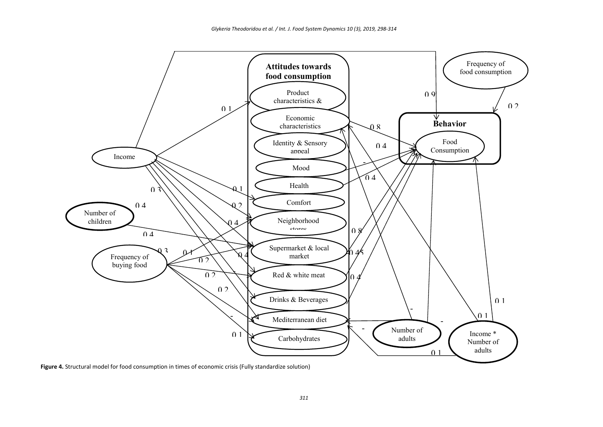

**Figure 4.** Structural model for food consumption in times of economic crisis (Fully standardize solution)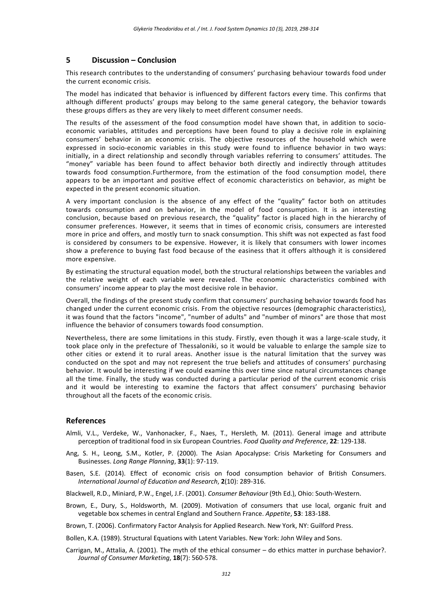## **5 Discussion – Conclusion**

This research contributes to the understanding of consumers' purchasing behaviour towards food under the current economic crisis.

The model has indicated that behavior is influenced by different factors every time. This confirms that although different products' groups may belong to the same general category, the behavior towards these groups differs as they are very likely to meet different consumer needs.

The results of the assessment of the food consumption model have shown that, in addition to socioeconomic variables, attitudes and perceptions have been found to play a decisive role in explaining consumers' behavior in an economic crisis. The objective resources of the household which were expressed in socio-economic variables in this study were found to influence behavior in two ways: initially, in a direct relationship and secondly through variables referring to consumers' attitudes. The "money" variable has been found to affect behavior both directly and indirectly through attitudes towards food consumption.Furthermore, from the estimation of the food consumption model, there appears to be an important and positive effect of economic characteristics on behavior, as might be expected in the present economic situation.

A very important conclusion is the absence of any effect of the "quality" factor both on attitudes towards consumption and on behavior, in the model of food consumption. It is an interesting conclusion, because based on previous research, the "quality" factor is placed high in the hierarchy of consumer preferences. However, it seems that in times of economic crisis, consumers are interested more in price and offers, and mostly turn to snack consumption. This shift was not expected as fast food is considered by consumers to be expensive. However, it is likely that consumers with lower incomes show a preference to buying fast food because of the easiness that it offers although it is considered more expensive.

By estimating the structural equation model, both the structural relationships between the variables and the relative weight of each variable were revealed. The economic characteristics combined with consumers' income appear to play the most decisive role in behavior.

Overall, the findings of the present study confirm that consumers' purchasing behavior towards food has changed under the current economic crisis. From the objective resources (demographic characteristics), it was found that the factors "income", "number of adults" and "number of minors" are those that most influence the behavior of consumers towards food consumption.

Nevertheless, there are some limitations in this study. Firstly, even though it was a large‐scale study, it took place only in the prefecture of Thessaloniki, so it would be valuable to enlarge the sample size to other cities or extend it to rural areas. Another issue is the natural limitation that the survey was conducted on the spot and may not represent the true beliefs and attitudes of consumers' purchasing behavior. It would be interesting if we could examine this over time since natural circumstances change all the time. Finally, the study was conducted during a particular period of the current economic crisis and it would be interesting to examine the factors that affect consumers' purchasing behavior throughout all the facets of the economic crisis.

## **References**

- Almli, V.L., Verdeke, W., Vanhonacker, F., Naes, T., Hersleth, M. (2011). General image and attribute perception of traditional food in six European Countries. *Food Quality and Preference*, **22**: 129‐138.
- Ang, S. H., Leong, S.M., Kotler, P. (2000). The Asian Apocalypse: Crisis Marketing for Consumers and Businesses. *Long Range Planning*, **33**(1): 97‐119.
- Basen, S.E. (2014). Effect of economic crisis on food consumption behavior of British Consumers. *International Journal of Education and Research*, **2**(10): 289‐316.

Blackwell, R.D., Miniard, P.W., Engel, J.F. (2001). *Consumer Behaviour* (9th Ed.), Ohio: South‐Western.

Brown, E., Dury, S., Holdsworth, M. (2009). Motivation of consumers that use local, organic fruit and vegetable box schemes in central England and Southern France. *Appetite*, **53**: 183‐188.

Brown, T. (2006). Confirmatory Factor Analysis for Applied Research. New York, NY: Guilford Press.

Bollen, K.A. (1989). Structural Equations with Latent Variables. New York: John Wiley and Sons.

Carrigan, M., Attalia, A. (2001). The myth of the ethical consumer – do ethics matter in purchase behavior?. *Journal of Consumer Marketing*, **18**(7): 560‐578.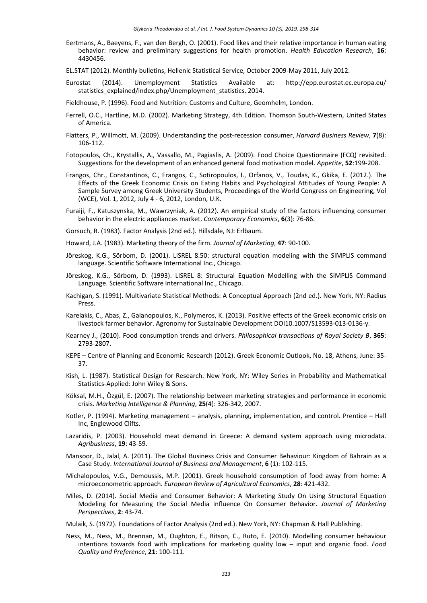- Eertmans, A., Baeyens, F., van den Bergh, O. (2001). Food likes and their relative importance in human eating behavior: review and preliminary suggestions for health promotion. *Health Education Research*, **16**: 4430456.
- EL.STAT (2012). Monthly bulletins, Hellenic Statistical Service, October 2009‐May 2011, July 2012.
- Eurostat (2014). Unemployment Statistics Available at: http://epp.eurostat.ec.europa.eu/ statistics\_explained/index.php/Unemployment\_statistics, 2014.

Fieldhouse, P. (1996). Food and Nutrition: Customs and Culture, Geomhelm, London.

- Ferrell, O.C., Hartline, M.D. (2002). Marketing Strategy, 4th Edition. Thomson South‐Western, United States of America.
- Flatters, P., Willmott, M. (2009). Understanding the post‐recession consumer, *Harvard Business Review*, **7**(8): 106‐112.
- Fotopoulos, Ch., Krystallis, A., Vassallo, M., Pagiaslis, A. (2009). Food Choice Questionnaire (FCQ) revisited. Suggestions for the development of an enhanced general food motivation model. *Appetite*, **52**:199‐208.
- Frangos, Chr., Constantinos, C., Frangos, C., Sotiropoulos, I., Orfanos, V., Toudas, K., Gkika, E. (2012.). The Effects of the Greek Economic Crisis on Eating Habits and Psychological Attitudes of Young People: A Sample Survey among Greek University Students, Proceedings of the World Congress on Engineering, Vol (WCE), Vol. 1, 2012, July 4 ‐ 6, 2012, London, U.K.
- Furaiji, F., Katuszynska, M., Wawrzyniak, A. (2012). An empirical study of the factors influencing consumer behavior in the electric appliances market. *Contemporary Economics*, **6**(3): 76‐86.
- Gorsuch, R. (1983). Factor Analysis (2nd ed.). Hillsdale, NJ: Erlbaum.
- Howard, J.A. (1983). Marketing theory of the firm. *Journal of Marketing*, **47**: 90‐100.
- Jöreskog, K.G., Sörbom, D. (2001). LISREL 8.50: structural equation modeling with the SIMPLIS command language. Scientific Software International Inc., Chicago.
- Jöreskog, K.G., Sörbom, D. (1993). LISREL 8: Structural Equation Modelling with the SIMPLIS Command Language. Scientific Software International Inc., Chicago.
- Kachigan, S. (1991). Multivariate Statistical Methods: A Conceptual Approach (2nd ed.). New York, NY: Radius Press.
- Karelakis, C., Abas, Z., Galanopoulos, K., Polymeros, K. (2013). Positive effects of the Greek economic crisis on livestock farmer behavior. Agronomy for Sustainable Development DOI10.1007/S13593‐013‐0136‐y.
- Kearney J., (2010). Food consumption trends and drivers. *Philosophical transactions of Royal Society B*, **365**: 2793‐2807.
- KEPE Centre of Planning and Economic Research (2012). Greek Economic Outlook, No. 18, Athens, June: 35‐ 37.
- Kish, L. (1987). Statistical Design for Research. New York, NY: Wiley Series in Probability and Mathematical Statistics‐Applied: John Wiley & Sons.
- Köksal, M.H., Özgül, E. (2007). The relationship between marketing strategies and performance in economic crisis. *Marketing Intelligence & Planning*, **25**(4): 326‐342, 2007.
- Kotler, P. (1994). Marketing management analysis, planning, implementation, and control. Prentice Hall Inc, Englewood Clifts.
- Lazaridis, P. (2003). Household meat demand in Greece: A demand system approach using microdata. *Agribusiness*, **19**: 43‐59.
- Mansoor, D., Jalal, A. (2011). The Global Business Crisis and Consumer Behaviour: Kingdom of Bahrain as a Case Study. *International Journal of Business and Management*, **6** (1): 102‐115.
- Michalopoulos, V.G., Demoussis, M.P. (2001). Greek household consumption of food away from home: A microeconometric approach. *European Review of Agricultural Economics*, **28**: 421‐432.
- Miles, D. (2014). Social Media and Consumer Behavior: A Marketing Study On Using Structural Equation Modeling for Measuring the Social Media Influence On Consumer Behavior. *Journal of Marketing Perspectives*, **2**: 43‐74.
- Mulaik, S. (1972). Foundations of Factor Analysis (2nd ed.). New York, NY: Chapman & Hall Publishing.
- Ness, M., Ness, M., Brennan, M., Oughton, E., Ritson, C., Ruto, E. (2010). Modelling consumer behaviour intentions towards food with implications for marketing quality low – input and organic food. *Food Quality and Preference*, **21**: 100‐111.